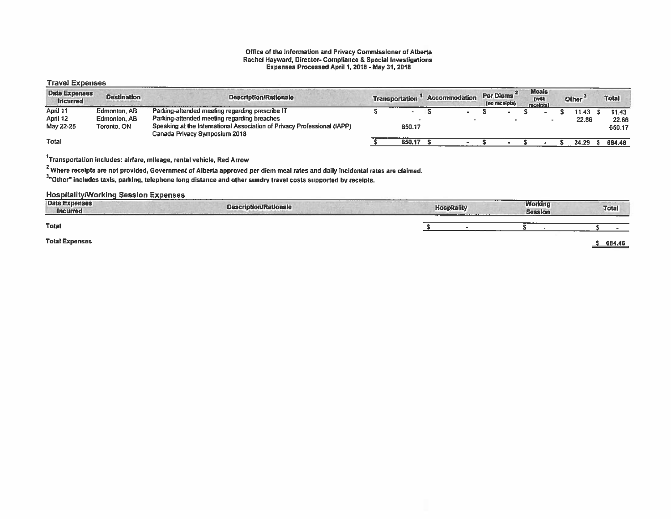#### Office of the Information and Privacy Commissioner of Alberta Rachel Hayward, Director- Compliance & Special Investigations Expenses Processed April 1,2018 -May 31, 2018

#### Travel Expenses

| <b>Date Expenses</b><br><i>incurred</i> | <b>Destination</b> | <b>Description/Rationale</b>                                                                              | <b>Transportation</b> | <b>Accommodation</b> | Per Diems<br>(no receipts) | <b>Meals</b><br>(with<br>receipts) | Other <sup>3</sup> | <b>Total</b> |
|-----------------------------------------|--------------------|-----------------------------------------------------------------------------------------------------------|-----------------------|----------------------|----------------------------|------------------------------------|--------------------|--------------|
| April 11                                | Edmonton, AB       | Parking-attended meeting regarding prescribe IT                                                           |                       |                      |                            |                                    | 11.43              | 11.43        |
| April 12                                | Edmonton, AB       | Parking-attended meeting regarding breaches                                                               |                       |                      |                            |                                    | 22.86              | 22.86        |
| May 22-25                               | Toronto, ON        | Speaking at the International Association of Privacy Professional (IAPP)<br>Canada Privacy Symposium 2018 | 650.17                |                      |                            |                                    |                    | 650.17       |
| <b>Total</b>                            |                    |                                                                                                           | 650.17                |                      |                            |                                    | 34.29              | 684.46       |

1Transportation includes: airfare, mileage, rental vehicle, Red Arrow

<sup>2</sup> Where receipts are not provided, Government of Alberta approved per diem meal rates and daily incidental rates are claimed.

3"Other" includes taxis, parking, telephone long distance and other sundry travel costs supported by receipts.

HospitalitylWorking Session Expenses

| <b>Date Expenses</b><br><b>Incurred</b><br>--------- | <b>Description/Rationale</b> | <b>CONTRACTOR CONTRACTOR</b><br><b>Hospitality</b><br>____________ | <b>Working</b><br><b>Session</b> | <b>Total</b> |
|------------------------------------------------------|------------------------------|--------------------------------------------------------------------|----------------------------------|--------------|
| Total                                                |                              |                                                                    |                                  |              |
| <b>Total Expenses</b>                                |                              |                                                                    |                                  | 684.46       |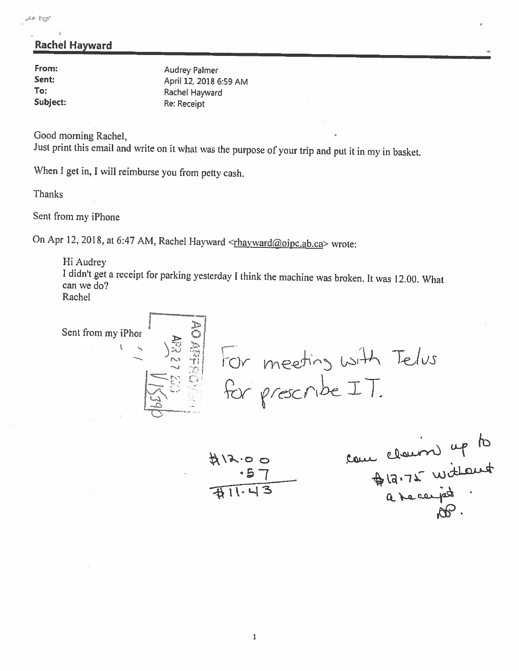## Rachel Hayward

| From:    | <b>Audrey Palmer</b>   |
|----------|------------------------|
| Sent:    | April 12, 2018 6:59 AM |
| To:      | Rachel Hayward         |
| Subject: | Re: Receipt            |

Good morning Rachel,

Just print this email and write on it what was the purpose of your trip and put it in my in basket.

When I get in, I will reimburse you from petty cash.

Thanks

Sent from my iPhone

On Apr 12, 2018, at 6:47 AM, Rachel Hayward <thayward@oipc.ab.ca> wrote:

Hi Audrey <sup>I</sup> didn't get <sup>a</sup> receipt for parking yesterday <sup>I</sup> think the machine was broken. It was 12.00. What can we do? Rachel

Sent from my iPhone

\n
$$
= \frac{3}{2}
$$
\nFor meeting with Telvs

\n
$$
= \frac{3}{2}
$$
\nFor Exercise 1.11

\n
$$
= 1
$$

$$
\frac{412.00}{411.43}
$$
 200  
417.00  
411.43  
211.43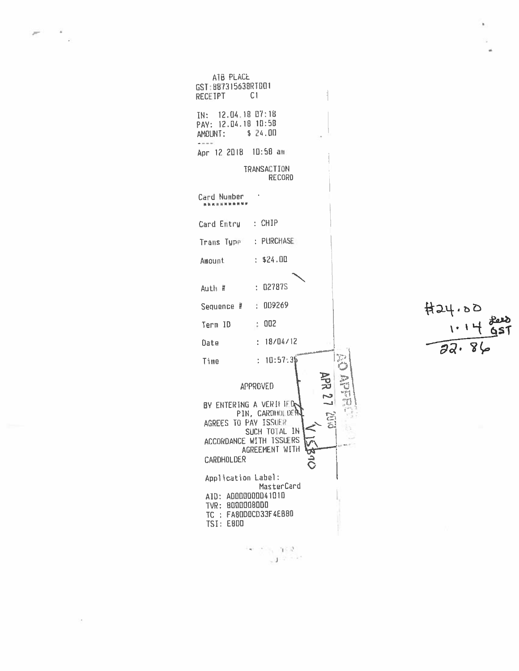ATB PLACE GST: 887315638RT001 **RECEIPT**  $C1$ IN: 12.04.18 D7:18 PAY: 12.04.18 10:58 AMOUNT: \$ 24.00  $-44 - 4$ Apr 12 2018 10:58 am TRANSACTION RECORD i, Card Number \*\*\*\*\*\*\*\*\*\*\*  $:$  CHIP Card Entry Trans Type : PURCHASE Amount  $: $24.00$  $: 02787S$ Auth #  $: 009269$ Sequence #  $\div$  002 Term ID  $: 18/04/12$ Date  $: 10.57.35$ Time  $\frac{1}{\sqrt{1+\frac{1}{2}}}\sum_{i=1}^{n}$ **APR 27 7863** APPROVED B BY ENTERING A VERIFIED PIN, CARDHOLDEN AGREES TO PAY ISSUER SUCH TOTAL IN ACCORDANCE WITH ISSUERS AGREEMENT WITH ᡮ .<br>С CARDHOLDER Application Label: MasterCard AID: A0000000041010 TVR: 8000008000 TC: FA80DDCD33F4EB80 TSI: E800

 $-1.162$  $\mathbb{E}[\mathbf{J}^{(1)}]^{(1)} \leq \mathbb{E}[\mathbf{J}^{(1)}]$ 

 $H24.00$  $\mathfrak{h}$  $65T$  $72.89$ 

 $\boldsymbol{\delta}$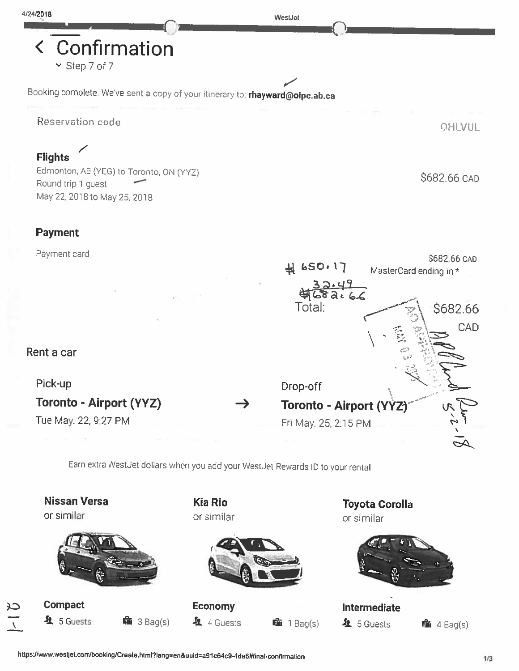< Confirmation  $\sim$  Step 7 of 7

Booking complete. We've sent a copy of your itinerary to: **rhayward@oipc.ab.ca** 

**Reservation code** 

## **Flights**

Edmonton, AB (YEG) to Toronto, ON (YYZ) Round trip 1 guest May 22, 2018 to May 25, 2018

## Payment

Payment card



ر<br>سر<br>سر

Earn extra Westdet dollars when you add your WestJet Rewards ID to your rental

Nissan Versa Kia Rio or similar or similar or similar



**Compact**  $4$  5 Guests 14th 3 Bag(s)



Economy  $\mathbf{\Omega}$  4 Guests that  $\mathbf{\Omega}$  1 Bag(s) Toyota Corolla



Intermediate  $4$  5 Guests  $1 \text{th } 4$  Bag(s)

OHLVUL

\$682.66 CAD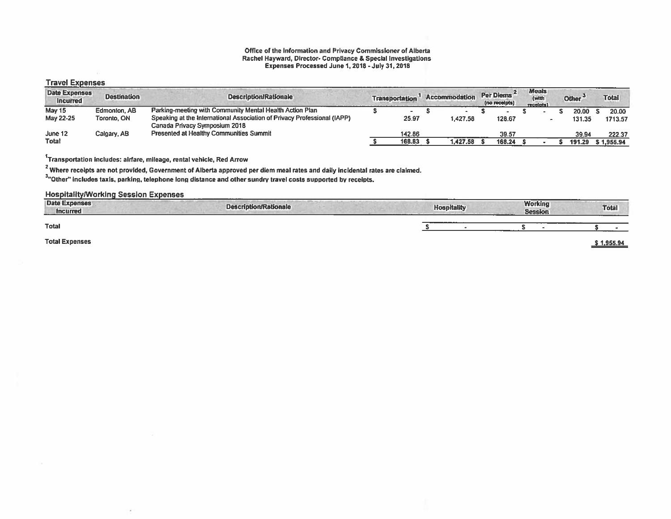#### Office of the Information and Privacy Commissioner of Alberta Rachel Hayward, Director- Compliance & Special Investigations Expenses Processed June 1,2018- July 31, 2018

#### Travel Expenses

| <b>Date Expenses</b><br><b>Incurred</b> | <b>Destination</b> | <b>Description/Rationale</b>                                                                              | <b>Transportation</b> | <b>Accommodation</b> | Per Diems<br>(no receipts) | <b>Meals</b><br>(with<br>receipts) | Other <sup>3</sup> | <b>Total</b> |
|-----------------------------------------|--------------------|-----------------------------------------------------------------------------------------------------------|-----------------------|----------------------|----------------------------|------------------------------------|--------------------|--------------|
| <b>May 15</b>                           | Edmonton, AB       | Parking-meeting with Community Mental Health Action Plan                                                  |                       |                      |                            |                                    | 20.00              | 20.00        |
| May 22-25                               | Toronto, ON        | Speaking at the International Association of Privacy Professional (IAPP)<br>Canada Privacy Symposium 2018 | 25.97                 | 1.427.58             | 128.67                     |                                    | 131.35             | 1713.57      |
| June 12                                 | Calgary, AB        | <b>Presented at Healthy Communities Summit</b>                                                            | 142.86                |                      | 39.57                      |                                    | 39.94              | 222.37       |
| Total                                   |                    |                                                                                                           | 168,83                | 1.427.58             | 168.24                     |                                    | 191.29             | \$ 1.955.94  |

 $1$ Transportation includes: airfare, mileage, rental vehicle, Red Arrow

 $^{\rm 2}$  Where receipts are not provided, Government of Alberta approved per diem meal rates and daily incidental rates are claimed.

3"Other' includes taxis, parkinq, telephone long distance and other sundry travel costs supported by receipts.

HospitalitylWorking Session Expenses

| <b>Date Expenses</b><br><b>Incurred</b> | <b>Description/Rationale</b> | <b>Hospitality</b> | <b>Working</b><br><b>Session</b> | <b>Total</b> |
|-----------------------------------------|------------------------------|--------------------|----------------------------------|--------------|
| <b>Total</b>                            |                              |                    |                                  |              |
| <b>Total Expenses</b>                   |                              |                    |                                  | 1,955.94     |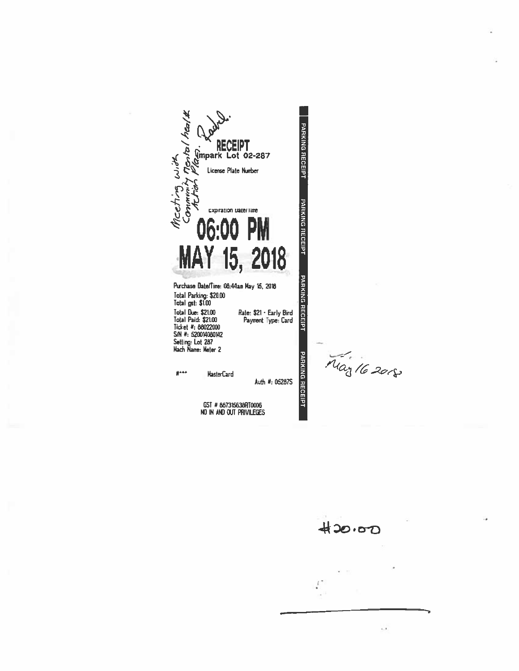htal # PARKING RECEIPT RECEIPT<br>Support Lot 02-287 Mceting, with License Plate Number iemento:<br>C **PARKING RECEIPT** expiration uate/line 06:00 PM MAY 15, 2018 **PARKING RECEIPT** Purchase Date/Time: 08:44am May 15, 2018 Total Parking: \$20.00<br>Total gst: \$1.00 Total Due: \$21.00<br>Total Paid: \$21.00<br>Ticket #: 88022000<br>S/N #: 520014080142 Rate: \$21 - Early Bird<br>Payment Type: Card Setting: Lot 287 **PARKING RECEIPT**  $\hat{\pi}^{***}$ **MasterCard** Auth #: 05287S

 $\begin{array}{c} \text{GST} \# \text{ 667315638R} \text{70006} \\ \text{NO IN AND OUT PRIVILEGES} \end{array}$ 

May 16 2018



 $\epsilon$  ,  $\epsilon$ 

 $\mathcal{E}$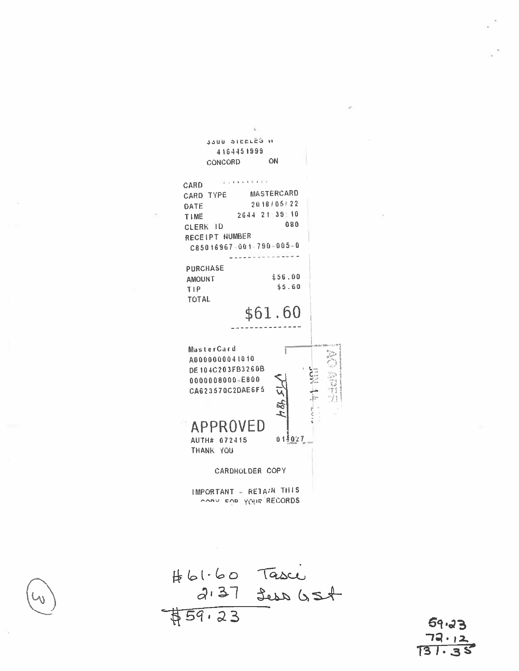



 $59.23$ 73. , 2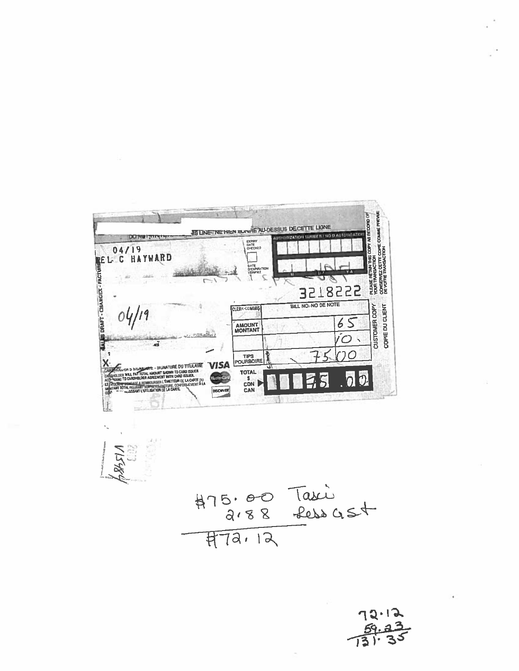DA/19<br>
REL. C HAYWARD PLEUSE RETUNITING COPY AR RECORD OF<br>YOUR ITENAISACTION<br>CONSERVEZ DETTE COPIE COMME PREVUE<br>DE VOTRE TRAVISACTION **AS LINE - NE HIEN EURALE AU-DESSUS DE CETTE LIGNE** ERPIRY<br>DATE<br>CHECKED 3518555 BILL NO. NO DE NOTE CUSTOMER COPY COPIE DU CLIENT CLERK-COMMIS  $65$ **AMOUNT**  $\overline{O}$ ÷h  $\overline{O}$  $\mathfrak I$ TIPS<br>POURBOIRE **X** MAMMINE – SIGNATURE DU TTEULAIRE<br>Total Amount Siown to Lard Issuer<br>Loer Agreement Vitin Card Issuer<br>All Simolinger Lémetteur de la Carte du<br>All Simolinger Lémetteur de la Carte du **VISA** TOTAL<br>S<br>CON  $0<sup>2</sup>$  $\overline{5}$ **ISATION DE LA CAP DISCIPYER** 

 $475.00$  Taxis<br> $773.8$  febra 45+

 $72.12$ <br> $73.23$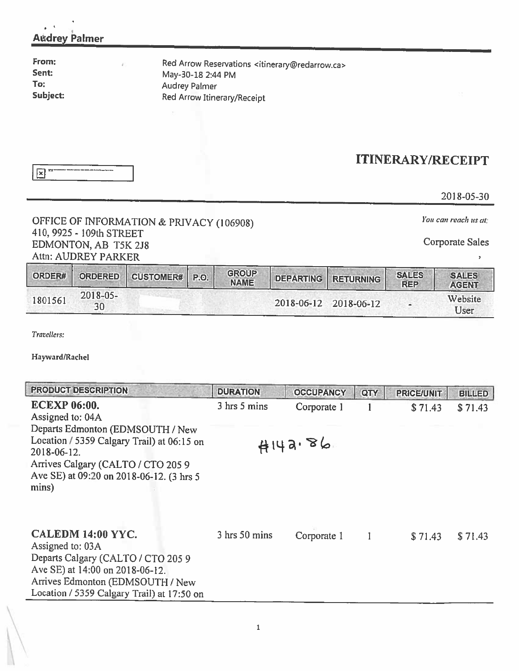| <b>Audrey Palmer</b><br>From:<br>Sent:<br>To:<br>Subject: | Red Arrow Reservations <itinerary@redarrow.ca><br/>May-30-18 2:44 PM<br/>Audrey Palmer<br/>Red Arrow Itinerary/Receipt</itinerary@redarrow.ca> |                          |
|-----------------------------------------------------------|------------------------------------------------------------------------------------------------------------------------------------------------|--------------------------|
| $\mathbf{R}$                                              |                                                                                                                                                | <b>ITINERARY/RECEIPT</b> |
|                                                           |                                                                                                                                                | 2018-05-30               |
|                                                           | OFFICE OF INFORMATION & PRIVACY (106908)                                                                                                       | You can reach us at:     |

## 410, 9925- 109th STREET EDMONTON, AB T5K 2J8 Attn: AUDREY PARKER

 $\bar{\mathbf{z}}$ 

| ORDER#  | <b>ORDERED</b>                   | <b>CUSTOMER#</b> | P. | <b>GROUP</b><br><b>NAME</b> | <b>DEPARTING</b> | <b>RETURNING</b>      | <b>SALES</b><br><b>REP</b> | <b>SALES</b><br><b>AGENT</b> |
|---------|----------------------------------|------------------|----|-----------------------------|------------------|-----------------------|----------------------------|------------------------------|
| 1801561 | $2018 - 05 -$<br>30 <sup>°</sup> |                  |    |                             |                  | 2018-06-12 2018-06-12 |                            | Website<br>User              |

Travellers:

Hayward/Rachel

| <b>PRODUCT DESCRIPTION</b>                                                                                                                                                                                | <b>DURATION</b> | <b>OCCUPANCY</b> | QTY | <b>PRICE/UNIT</b> | <b>BILLED</b> |
|-----------------------------------------------------------------------------------------------------------------------------------------------------------------------------------------------------------|-----------------|------------------|-----|-------------------|---------------|
| <b>ECEXP 06:00.</b><br>Assigned to: 04A                                                                                                                                                                   | 3 hrs 5 mins    | Corporate 1      |     | \$71.43           | \$71.43       |
| Departs Edmonton (EDMSOUTH / New<br>Location / 5359 Calgary Trail) at 06:15 on<br>2018-06-12.<br>Arrives Calgary (CALTO / CTO 205 9<br>Ave SE) at 09:20 on 2018-06-12. (3 hrs 5                           |                 | 4443.86          |     |                   |               |
| mins)<br>CALEDM 14:00 YYC.<br>Assigned to: 03A<br>Departs Calgary (CALTO / CTO 205 9<br>Ave SE) at 14:00 on 2018-06-12.<br>Arrives Edmonton (EDMSOUTH / New<br>Location / 5359 Calgary Trail) at 17:50 on | 3 hrs 50 mins   | Corporate 1      |     | \$71.43           | \$71.43       |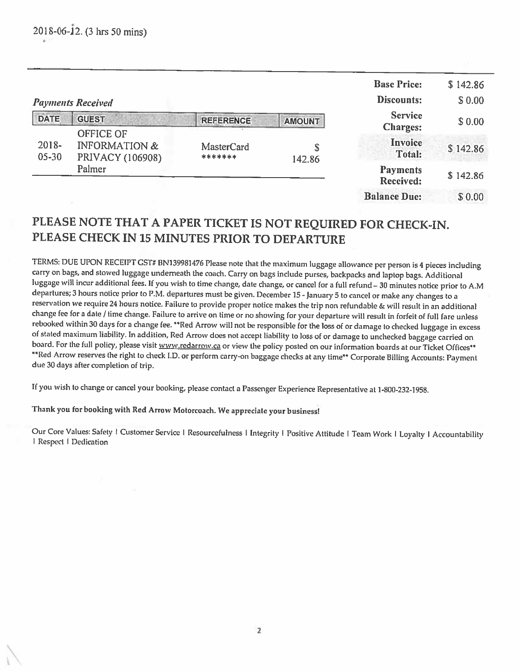|                       |                                              |                       |               | <b>Base Price:</b><br>Discounts:    | \$142.86<br>\$0.00 |
|-----------------------|----------------------------------------------|-----------------------|---------------|-------------------------------------|--------------------|
| <b>DATE</b>           | <b>Payments Received</b><br><b>GUEST</b>     |                       |               | <b>Service</b>                      |                    |
|                       | <b>OFFICE OF</b>                             | <b>REFERENCE</b>      | <b>AMOUNT</b> | <b>Charges:</b>                     | \$0.00             |
| $2018 -$<br>$05 - 30$ | <b>INFORMATION &amp;</b><br>PRIVACY (106908) | MasterCard<br>******* | \$<br>142.86  | Invoice<br>Total:                   | \$142.86           |
|                       | Palmer                                       |                       |               | <b>Payments</b><br><b>Received:</b> | \$142.86           |
|                       |                                              |                       |               | <b>Balance Due:</b>                 | \$0.00             |

## PLEASE NOTE THAT <sup>A</sup> PAPER TICKET IS NOT REQUIRED FOR CHECK-IN. PLEASE CHECK IN 15 MINUTES PRIOR TO DEPARTURE

TERMS: DUE UPON RECEIPT GST# BN139981476 Please note that the maximum luggage allowance per person is <sup>4</sup> <sup>p</sup>ieces including carry on bags, and stowed luggage underneath the coach. Carry on bags include purses, backpacks and laptop bags. Additional luggage will incur additional fees. If you wish to time change, date change, or cancel for a full refund - 30 minutes notice prior to A.M<br>departures; 3 hours notice prior to P.M. departures must be given. December 15 - Jan reservation we require <sup>24</sup> hours notice. Failure to provide proper notice makes the trip non refundable & will result in an additional change fee for <sup>a</sup> date / time change. Failure to arrive on time or no showing for your departure will result in forfeit of full fare unless rebooked within 30 days for a change fee. \*\*Red Arrow will not be responsible for the loss of or damage to checked luggage in excess of stated maximum liability. In addition, Red Arrow does not accept liability to loss of \*\* Red Arrow reserves the right to check I.D. or perform carry-on baggage checks at any time\*\* Corporate Billing Accounts: Payment due 30 days after completion of trip.

If you wish to change or cancel your booking, <sup>p</sup>lease contact <sup>a</sup> Passenger Experience Representative at 1-800-232-1958.

## Thank you for booking with Red Arrow Motorcoach. We appreciate your business!

Our Core Values: Safety | Customer Service | Resourcefulness | Integrity | Positive Attitude | Team Work | Loyalty | Accountability | Respect | Dedication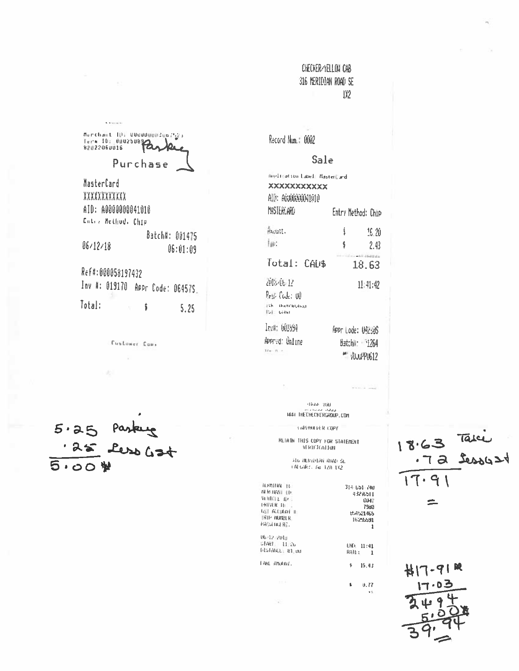## CHECKER/YELLOW CAB 316 MERIDIAN ROAD SE IX2

Merchant ID: UBUDDUUNZUB (3) Erra ID: 000250892 Purchase MasterCard XXXXXXXXXXX AID: A0000000041010 Entry Hellfod, Chip Batch#: 001475  $06/12/18$  $06:01:09$ Ref#:000058197432 Inv #: 019170 Appr Code: 06457S. Total:  $\ddagger$ 5.25

 $\bar{K}$  is the set of  $\bar{K}$ 

Custower Com.

 $5.25$  Pasking  $5.00$ 

Record Num.: 0002

### Sale

| <b>HHPLITation Label: HaaterCard</b><br>XXXXXXXXXXX<br>AID: AUU0000041010 |                    |                              |
|---------------------------------------------------------------------------|--------------------|------------------------------|
| MASTEREARD                                                                | Entry Method: Chip |                              |
| Acunt.<br>İiin                                                            | ŧ<br>\$            | 15.20<br>2,43                |
| Total: CAUS                                                               |                    | 18.63                        |
| 2013-06-12<br>lesi (ide: iii)<br>186. - Институтыца<br><b>ISIE GANT</b>   |                    | 11/41:42                     |
| Inv#: 601894<br>APPrvd: Online                                            | APPr Lode: 042:45  | Batchii: 1264<br>" AUUPPU612 |

 $95440\%$  7000 MAIL THEORECKERGROUP.COM

CAREFRICHER COPY RETAIN THIS COPY FOR STATERENT **VERTETCATTON** 

.<br>The Herblan Ruad Se<br>Talgary, The Tza Tx2

чń.

 $\mathbf{H}$ 

| 314-651-740           |
|-----------------------|
| 43276511              |
|                       |
| OU-17<br>7980         |
|                       |
| U54521465<br>16295591 |
| 1                     |
|                       |
| END: 11:41            |
| RAIL:<br>1            |
| 15.43<br>ŝ            |
| U.77                  |
|                       |

18.63 Take  $17.91$  $\equiv$ 

 $H17 - 91R$ 30011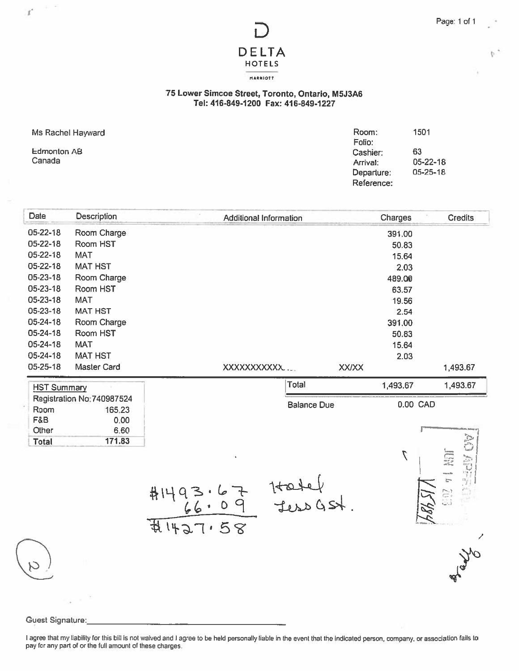b

# DELTA HOTELS MAAAIOTT

### 75 Lower Simcoe Street, Toronto, Ontario, M5J3A6 Tel: 416-849-1200 Fax: 416-849-1227

Ms Rachel Hayward

| Ms Rachel Hayward | Room:      | 1501     |
|-------------------|------------|----------|
|                   | Folio:     |          |
| Edmonton AB       | Cashier:   | 63       |
| Canada            | Arrival:   | 05-22-18 |
|                   | Departure: | 05-25-18 |
|                   | Reference: |          |

| Date               | <b>Description</b> | <b>Additional Information</b> | Charges      | <b>Credits</b> |
|--------------------|--------------------|-------------------------------|--------------|----------------|
| $05 - 22 - 18$     | Room Charge        |                               | 391.00       |                |
| 05-22-18           | Room HST           |                               | 50.83        |                |
| 05-22-18           | <b>MAT</b>         |                               | 15.64        |                |
| $05 - 22 - 18$     | <b>MAT HST</b>     |                               | 2.03         |                |
| 05-23-18           | Room Charge        |                               | 489.00       |                |
| 05-23-18           | Room HST           |                               | 63.57        |                |
| 05-23-18           | <b>MAT</b>         |                               | 19.56        |                |
| 05-23-18           | <b>MAT HST</b>     |                               | 2.54         |                |
| 05-24-18           | Room Charge        |                               | 391.00       |                |
| 05-24-18           | Room HST           |                               | 50.83        |                |
| 05-24-18           | <b>MAT</b>         |                               | 15.64        |                |
| 05-24-18           | <b>MAT HST</b>     |                               | 2.03         |                |
| 05-25-18           | Master Card        | XXXXXXXXXXX                   | <b>XXIXX</b> | 1,493.67       |
| <b>HST Summary</b> |                    | Total                         | 1,493.67     | 1,493.67       |

| <b>HST Summary</b> |                            | TUldi              | 1,493.07 | 10.CC4.I   |
|--------------------|----------------------------|--------------------|----------|------------|
|                    | Registration No: 740987524 |                    |          |            |
| Room               | 165.23                     | <b>Balance Due</b> | 0.00 CAD |            |
| F&B                | 0.00                       |                    |          |            |
| Other              | 6.60                       |                    |          |            |
| <b>Total</b>       | 171.83                     |                    |          | C,<br>۰−۲۰ |

#1493.67 Hatel<br>66.09 JessGSt<br>#1427.58



#### Guest Signature:

I agree that my liability for this bill is not waived and I agree to be held personally liable in the event that the indicated person, company, or association fails to pay for any par<sup>t</sup> of or the full amount of these charges.

 $\boldsymbol{f}^{\star}$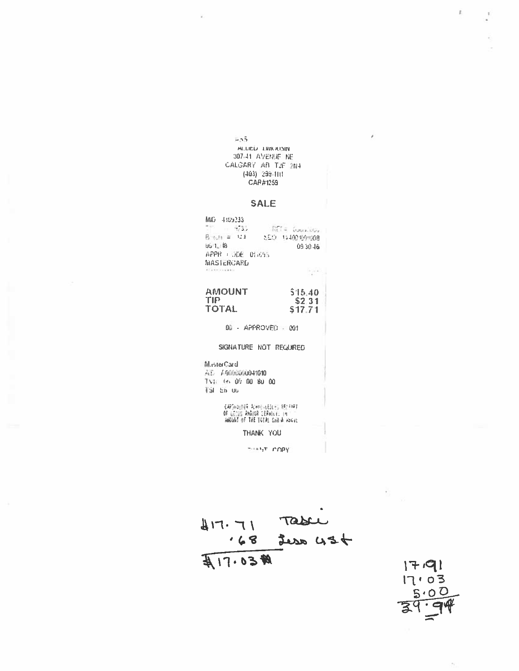#### $-55$ ALLIEU LIWOUSIN 307-41 AVENUE NE CALGARY AB T2E 2N4  $(403)$  299-111 CAR#1259

## **SALE**

| MK) 4159233                            |       |                 |  |                   |          |  |
|----------------------------------------|-------|-----------------|--|-------------------|----------|--|
|                                        | 973.J |                 |  | Relate Councillor |          |  |
| Broth # 123                            |       |                 |  | SED 144001001008  |          |  |
| US 1. 18                               |       |                 |  |                   | 84 OE 60 |  |
|                                        |       | APPR LUDE DINES |  |                   |          |  |
| <b>MASTERCARD</b>                      |       |                 |  |                   |          |  |
| With an identification for the device. |       |                 |  |                   |          |  |

AMOUNT<br>TIP \$15:40  $$2,31$ <br> $$17.71$ **TOTAL** 

00 - APPROVED - 001

SIGNATURE NOT REGUIRED

M.esterCard

TVH 66 00 00 80 00 TSI En uu

> CAPOHOLNER ACAMBALESEES BECFIAT<br>OF LOCOS ANDIOR EERVICE IN ANGUNI OF THE TOTAL CHOIN ASCIL

> > THANK YOU

THAT COPY

 $417.71$  Table<br>168 juin 434 A17.03#



j,

 $\bar{y}$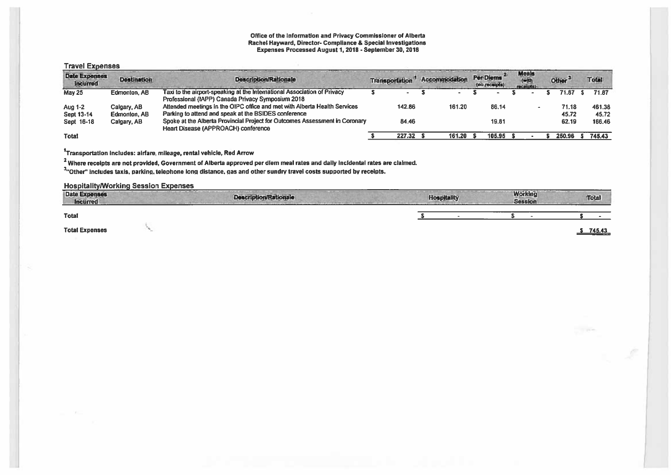## Office of the Information and Privacy Commissioner of Alberta Expenses Processed August 1, 2018 - Sepecial Investigations<br>Expenses Processed August 1, 2018 - September 30, 2018

#### **Travel Expenses**

| <b>Date Expenses</b><br><b>Incurred</b> | <b>Destination</b>          | <b>Description/Rationale</b>                                                                                                      | <b>Transportation</b> |        | Accommodation | Per Diems<br>(no receipts) | <b>Meals</b><br>receipts |  | Other <sup>3</sup> | Total           |
|-----------------------------------------|-----------------------------|-----------------------------------------------------------------------------------------------------------------------------------|-----------------------|--------|---------------|----------------------------|--------------------------|--|--------------------|-----------------|
| <b>May 25</b>                           | <b>Edmonton, AB</b>         | Taxi to the airport-speaking at the International Association of Privacy<br>Professional (IAPP) Canada Privacy Symposium 2018     |                       |        |               |                            |                          |  | 71.87              | 71.87           |
| Aug 1-2<br>Sept 13-14                   | Calgary, AB<br>Edmonton, AB | Attended meetings in the OIPC office and met with Alberta Health Services<br>Parking to attend and speak at the BSIDES conference |                       | 142.86 | 161.20        | 86.14                      |                          |  | 71.18<br>45.72     | 461.38<br>45.72 |
| Sept 16-18                              | Calgary, AB                 | Spoke at the Alberta Provincial Project for Outcomes Assessment in Coronary<br><b>Heart Disease (APPROACH) conference</b>         |                       | 84.46  |               | 19.81                      |                          |  | 62.19              | 166.46          |
| <b>Total</b>                            |                             |                                                                                                                                   |                       | 227.32 | 161.20        | 105.95                     |                          |  | 250.96             | 745.43          |

<sup>1</sup>Transportation includes: airfare, mileage, rental vehicle, Red Arrow

<sup>2</sup> Where receipts are not provided, Government of Alberta approved per diem meal rates and daily incidental rates are claimed.

other" includes taxis, parking, telephone long distance, gas and other sundry travel costs supported by receipts.

#### **Hospitality/Working Session Expenses**

| Date Expenses<br><b>Incurred</b> | <b>Description/Rationale</b> | ----<br><b>Hospitality</b> | <b>Working</b><br><b>Session</b> | <b>Total</b> |
|----------------------------------|------------------------------|----------------------------|----------------------------------|--------------|
| <b>Total</b>                     |                              |                            |                                  |              |
| <b>Total Expenses</b>            |                              |                            |                                  | 745.43       |

**TIP**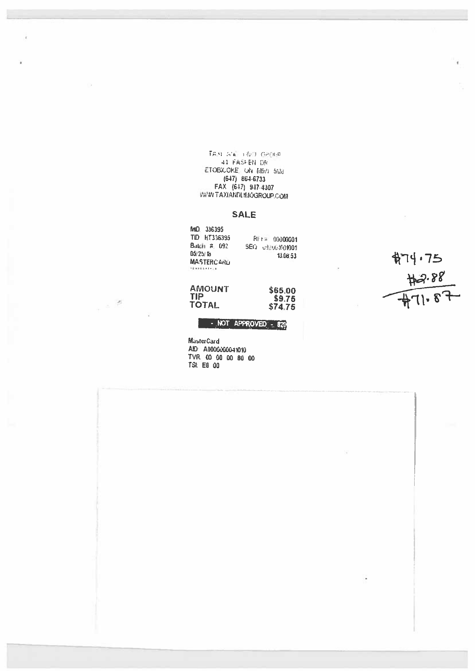$\overline{\mathbf{L}}\mathbf{A}\mathbf{B}\cdot\mathbf{A}'\mathbf{C}\rightarrow\mathbf{A}\mathbf{B}\cdot\mathbf{C}\cdot\mathbf{B}\mathbf{B}$ 41 FASHEN DR ETOBICOKE, ON MSW 561d  $(647)$  864-6733 FAX (647) 947-4307 **WAWN TAXIANDLINOGROUP COM** 

### **SALE**

| MND 336395                |                 |
|---------------------------|-----------------|
| TID HT336395              | RI-F# 00000001  |
| Batch # 092               | SEQ 09206801001 |
| 05/25/18                  | 13.06.53        |
| <b>MASTERCARD</b>         |                 |
| $-1 + -1 + 1 + 2 - 1 + 1$ |                 |

AMOUNT<br>TIP<br>TOTAL

 $\label{eq:2} \mathcal{L}_{\mathcal{A}} = \frac{1}{\sqrt{2}} \sum_{i=1}^{N} \mathcal{L}_{\mathcal{A}} \mathcal{L}_{\mathcal{A}}$ 

\$65.00<br>\$9.76<br>\$74.75

 $474.75\n  
\n+2.88\n  
\n+71.87$ 

## NOT APPROVED - 820

MästerCard AID A000000041010 TVR. 00 00 00 80 00 TSI: E8 00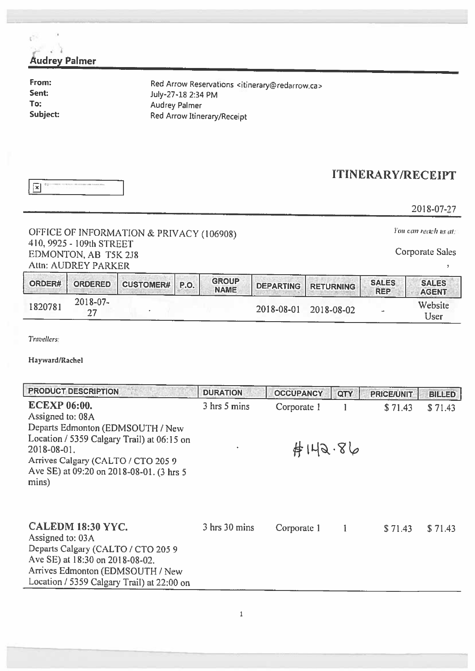| <b>Audrey Palmer</b>                                                                    |                                                                                |                                                                                                                                                                  |                                            |                                 |                                                                        |                     |                              |                              |
|-----------------------------------------------------------------------------------------|--------------------------------------------------------------------------------|------------------------------------------------------------------------------------------------------------------------------------------------------------------|--------------------------------------------|---------------------------------|------------------------------------------------------------------------|---------------------|------------------------------|------------------------------|
| From:<br>Sent:<br>To:<br>Subject:                                                       |                                                                                |                                                                                                                                                                  | July-27-18 2:34 PM<br><b>Audrey Palmer</b> | Red Arrow Itinerary/Receipt     | Red Arrow Reservations <itinerary@redarrow.ca></itinerary@redarrow.ca> |                     |                              |                              |
| $ \overline{\mathbf{x}} $                                                               |                                                                                |                                                                                                                                                                  |                                            |                                 |                                                                        |                     | <b>ITINERARY/RECEIPT</b>     |                              |
|                                                                                         |                                                                                |                                                                                                                                                                  |                                            |                                 |                                                                        |                     |                              | 2018-07-27                   |
|                                                                                         |                                                                                | OFFICE OF INFORMATION & PRIVACY (106908)                                                                                                                         |                                            |                                 |                                                                        |                     |                              | You can reach us at:         |
|                                                                                         | 410, 9925 - 109th STREET<br>EDMONTON, AB T5K 2J8<br><b>Attn: AUDREY PARKER</b> |                                                                                                                                                                  |                                            |                                 |                                                                        |                     |                              | <b>Corporate Sales</b>       |
| ORDER#                                                                                  | <b>ORDERED</b>                                                                 | <b>CUSTOMER#</b>                                                                                                                                                 | P.O.                                       | <b>GROUP</b><br><b>NAME</b>     | <b>DEPARTING</b>                                                       | <b>RETURNING</b>    | <b>SALES</b><br><b>REP</b>   | <b>SALES</b><br><b>AGENT</b> |
| 1820781                                                                                 | 2018-07-<br>27                                                                 |                                                                                                                                                                  |                                            |                                 | 2018-08-01                                                             | 2018-08-02          |                              | Website<br>User              |
| Travellers:<br>Hayward/Rachel<br><b>ECEXP 06:00.</b><br>Assigned to: 08A<br>2018-08-01. | <b>PRODUCT DESCRIPTION</b>                                                     | Departs Edmonton (EDMSOUTH / New<br>Location / 5359 Calgary Trail) at 06:15 on<br>Arrives Calgary (CALTO / CTO 205 9<br>Ave SE) at 09:20 on 2018-08-01. (3 hrs 5 |                                            | <b>DURATION</b><br>3 hrs 5 mins | <b>OCCUPANCY</b><br>Corporate 1                                        | QTY<br>1<br>#149.86 | <b>PRICE/UNIT</b><br>\$71.43 | <b>BILLED</b><br>\$71.43     |
| mins)                                                                                   | CALEDM 18:30 YYC.                                                              |                                                                                                                                                                  |                                            | 3 hrs 30 mins                   | Corporate 1                                                            |                     | \$71.43                      | \$71.43                      |

Assigned to: 03A Departs Calgary (CALTO / CTO 205 9 Ave SE) at 18:30 on 2018-08-02. Arrives Edmonton (EDMSOUTH / New Location / 5359 Calgary Trail) at 22:00 on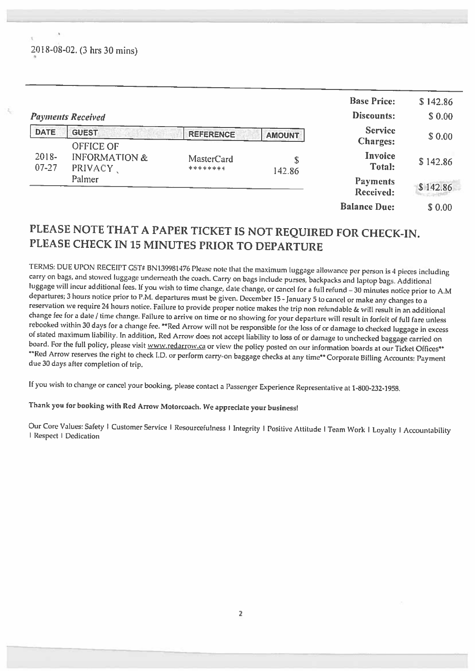2018-08-02. (3 hrs 30 mins)

|                       |                                                          |                               |               | <b>Base Price:</b>                  | \$142.86 |
|-----------------------|----------------------------------------------------------|-------------------------------|---------------|-------------------------------------|----------|
|                       | <b>Payments Received</b>                                 |                               |               | Discounts:                          | \$0.00   |
| <b>DATE</b>           | <b>GUEST</b>                                             | <b>REFERENCE</b>              | <b>AMOUNT</b> | <b>Service</b><br><b>Charges:</b>   | \$0.00   |
| $2018 -$<br>$07 - 27$ | <b>OFFICE OF</b><br><b>INFORMATION &amp;</b><br>PRIVACY, | <b>MasterCard</b><br>******** | \$<br>142.86  | Invoice<br>Total:                   | \$142.86 |
|                       | Palmer                                                   |                               |               | <b>Payments</b><br><b>Received:</b> | \$142.86 |
|                       |                                                          |                               |               | <b>Balance Due:</b>                 | \$0.00   |

## PLEASE NOTE THAT <sup>A</sup> PAPER TICKET IS NOT REQUIRED FOR CHECK-IN. PLEASE CHECK IN <sup>15</sup> MINUTES PRIOR TO DEPARTURE

TERMS: DUE UPON RECEIPT C5T# BN139981476 Please note that the maximum luggage allowance per person is 4 pieces including<br>carry on bags, and stowed luggage underneath the coach. Carry on bags include purses, backpacks and

If you wish to change or cancel your booking, <sup>p</sup>lease contact <sup>a</sup> Passenger Experience Representative at 1-800-232-1958.

## Thank you for booking with Red Arrow Motorcoach. We appreciate your business!

Our Core Values: Safety I Customer Service I Resourcefulness I Integrity I Positive Attitude I Team Work I Loyalty I Accountability I Respect I Dedication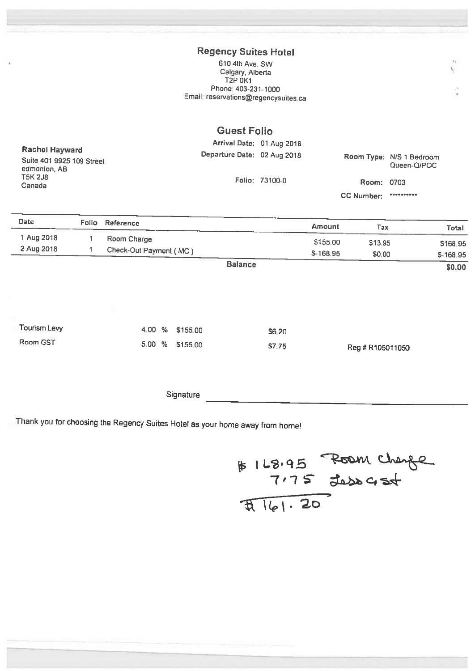## Regency Suites Hotel

610 4th Ave. SW Calgary, Alberta **T2P 0K1** Phone: 403-231-1000 Email: reservations@regencysuites.ca

|                                                                    |       |                        | <b>Guest Folio</b>          |                           |           |                   |                                         |          |
|--------------------------------------------------------------------|-------|------------------------|-----------------------------|---------------------------|-----------|-------------------|-----------------------------------------|----------|
|                                                                    |       |                        |                             | Arrival Date: 01 Aug 2018 |           |                   |                                         |          |
| <b>Rachel Hayward</b><br>Suite 401 9925 109 Street<br>edmonton, AB |       |                        | Departure Date: 02 Aug 2018 |                           |           |                   | Room Type: N/S 1 Bedroom<br>Queen-Q/POC |          |
| <b>T5K 2J8</b><br>Canada                                           |       |                        |                             | Folio: 73100-0            |           | Room: 0703        |                                         |          |
|                                                                    |       |                        |                             |                           |           | <b>CC Number:</b> | **********                              |          |
| <b>Date</b>                                                        | Folio | Reference              |                             |                           | Amount    | Tax               |                                         | Total    |
| 1 Aug 2018                                                         |       | Room Charge            |                             |                           | \$155.00  | \$13.95           |                                         | \$168.95 |
| 2 Aug 2018                                                         |       | Check-Out Payment (MC) |                             |                           | \$-168.95 | \$0.00            |                                         | S-168.95 |
|                                                                    |       |                        | <b>Balance</b>              |                           |           |                   |                                         | \$0.00   |

| Tourism Levy |  | 4.00 % \$155.00 | <b>S6.20</b> |                  |
|--------------|--|-----------------|--------------|------------------|
| Room GST     |  | 5.00 % \$155.00 | S7.75        | Reg # R105011050 |

**Signature** 

Thank you for choosing the Regency Suites Hotel as your home away from home!

# 168.95 Room change

U

 $\pm 1$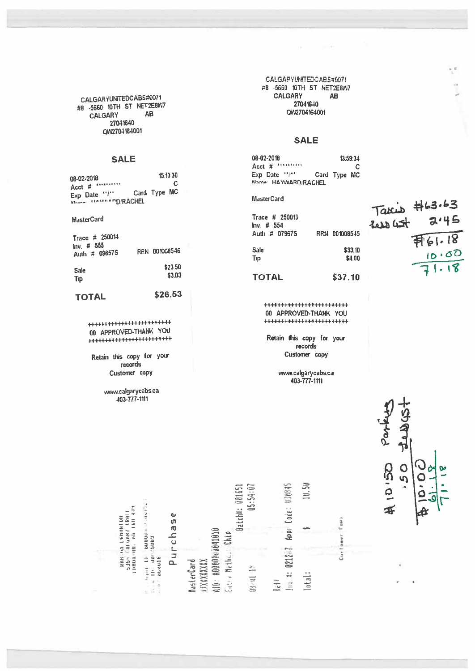CALGARYUNTEDCABS#0071 #8 -5660 10TH ST NET2E8W7 **AB CALGARY** 27041640 QW2704164001

### **SALE**

| 08-02-2018               |              | 15.13.30 |  |
|--------------------------|--------------|----------|--|
| Acct # **********        |              | C        |  |
| Exp. Date "I"            | Card Type MC |          |  |
| MALLEL LLASREER D/RACHEL |              |          |  |

MasterCard

| Trace # 250014<br>$ln v.$ # 555<br>Auth # 09857S | RRN 001008546 |
|--------------------------------------------------|---------------|
| <b>Sale</b>                                      | \$23.50       |
| Tip                                              | \$3.03        |

#### **TOTAL**

00 APPROVED-THANK YOU 

\$26.53

Retain this copy for your records Customer copy

> www.calgarycabs.ca 403-777-1111

CALGARYUNITEDCABS#6071 #8 -5660 10TH ST NET2E8W7 **CALGARY AB** 27041640 OW2704164001

OC 200 SHOPP

### **SALE**

08-02-2018 13:59:34 Acct  $#$  Attractive  $\mathbf C$  $Exp$  Date  $H^{(1)}$ Card Type MC Name: HAYWARD/RACHEL

#### **MasterCard**

| Trace $\#$ 250013<br>Inv: # 554 |                   |
|---------------------------------|-------------------|
| Auth # 07967S                   | RRN 001008545     |
| Sale<br>Tip                     | \$33.10<br>\$4.00 |
| <b>TOTAL</b>                    | \$37.10           |

\*\*\*\*\*\*\*\*\*\*\*\*\*\*\*\*\*\*\*\*\*\*\* 00 APPROVED-THANK YOU \*\*\*\*\*\*\*\*\*\*\*\*\*\*\*\*\*\*\*\*\*\*\*\*

Retain this copy for your records Customer copy

> www.calgarycabs.ca 403-777-1111

Taxis #63.63<br>2.45<br>2.45<br>51.18<br>71.18

Part  $\frac{1}{\sqrt{2}}$ 10150 0<br>0 Δ ≄

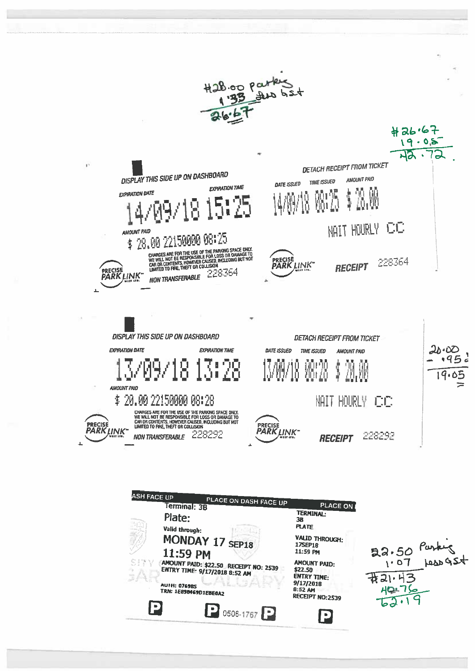

| ASH FACE UP | PLACE ON DASH FACE UP<br><b>Ferminal: 3B</b>                                        | PLACE ON                                               |                 |
|-------------|-------------------------------------------------------------------------------------|--------------------------------------------------------|-----------------|
| 經           | Plate:                                                                              | TERMINAL:<br>3в<br><b>PLATE</b>                        |                 |
|             | Valid through:<br>MONDAY 17 SEP18                                                   | <b>VALID THROUGH:</b><br><b>17SEP1B</b>                |                 |
|             | 11:59 PM<br>(AMOUNT PAID: \$22.50 RECEIPT NO: 2539<br>ENTRY TIME: 9/17/2018 8:52 AM | 11:59 PM<br><b>AMOUNT PAID:</b><br>\$22.50             | $22.50$ Punking |
|             | <b>AUTH: 076985</b><br>TRN: 1E898469D1EBE0A2                                        | ENTRY TIME:<br>9/17/2018<br>8:52 AM<br>RECEIPT NO:2539 |                 |
| IQ          | 0506-1767                                                                           |                                                        |                 |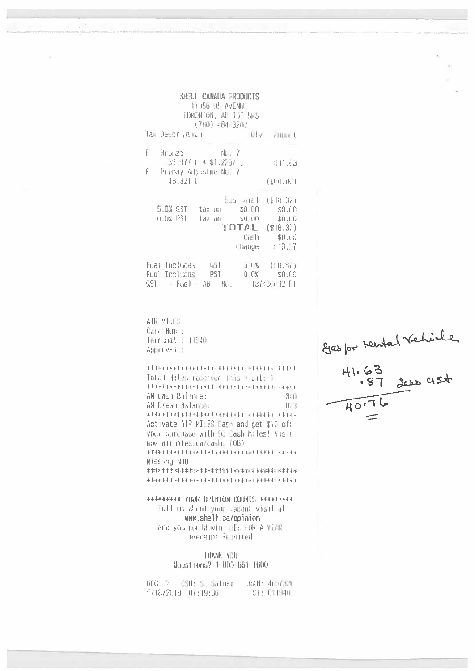|                                                       | SHELL CANADA FRODUCTS<br>17056 95 AVENUE<br>EDMONTON, AE IST 5F5<br>$(780)$ $-84-3202$ |                                                                           |
|-------------------------------------------------------|----------------------------------------------------------------------------------------|---------------------------------------------------------------------------|
| Так Description                                       |                                                                                        | DLy Amount                                                                |
| F.<br>Bronze No. 7<br>$33.37' + 9.31.223 / 1$         |                                                                                        | 41.53                                                                     |
| $\overline{F}^2$<br>Prepay Adjustme No. 7<br>48.321.1 |                                                                                        | (4E0.0)                                                                   |
| 5.0% GST tax on \$0.00 \$0.00<br>0.0% PSF             | tax on \$0.00 \$0.00                                                                   | Sub lotal (\$18.37)<br>TOTAL (\$18.37)<br>Cash \$0.co<br>Change $-418.57$ |
| Fuel Includes 461<br>Fue Includes PSI                 |                                                                                        | 5 U% (10.87)<br>0.0% \$0.00                                               |

Ne.

137400032 FT

AIR MILES Card Num : Terninal : 11940 Approval:

 $GSI = Fuel = AB$ 

**可是是300年最后去关系的正常是更多的正常是更多的不是的 化环形成体表 化水平流体 医水果汁法** Total Miles received this visit: 1 表示表现不平常求学术表现不是不学术术 机环形直接水平直接水平直接水平直接 化水泡干法 AM Cash Bilance:  $340$ AM Dream Balance: 1023 Activate AIR MILES Cash and cet \$10 off your purchase with 95 Cash Hiles! Visit www.althiles.ca/cash. (06) \*\*\*\*\*\*\*\*\*\*\*\*\*\*\*\*\*\*\*\*\*\*\*\*\*\*\*\*\*\*\*\*\*\*\*\*\* Missing N10 

\*\*\*\*\*\*\*\*\* YOUR OPINION COUNTS \*\*\*\*\*\*\*\*\* Tell us about your recent visit at www.shell.ca/opinion and you could win FUEL FUE A YEAR AREceipt Required

> THANE YOU Questions? 1:800-661-1600

| REGE 2                 |  | - CSH: S, Satnar | 【RAN: 4657320 |
|------------------------|--|------------------|---------------|
| $9718/2018 - 07:19:36$ |  |                  | SE: 011940.   |

2900 por Newtat Vehicle<br>41.63<br>-87 3020 454  $\overline{HO.76}$  $\leftarrow$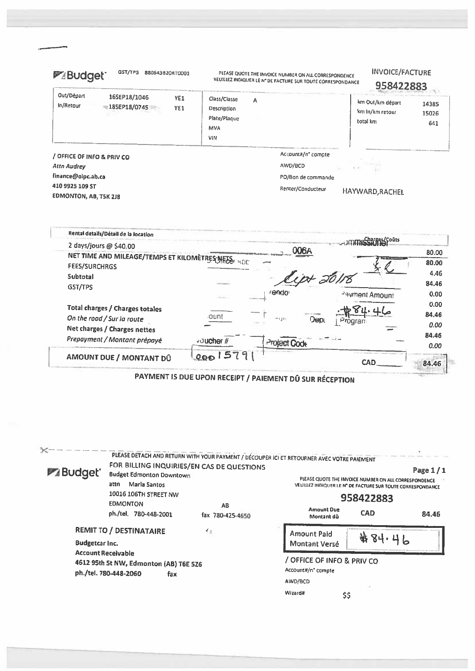| GST/TPS<br>880643820RT0001<br><b>PABudget</b>                          | PLEASE QUOTE THE INVOICE NUMBER ON ALL CORRESPONDENCE<br>VEUILLEZ INDIQUER LE N° DE FACTURE SUR TOUTE CORRESPONDANCE | <b>INVOICE/FACTURE</b><br>958422883                                      |
|------------------------------------------------------------------------|----------------------------------------------------------------------------------------------------------------------|--------------------------------------------------------------------------|
| Out/Départ<br>16SEP18/1046<br>YE1<br>In/Retour<br>185EP18/0745<br>YE1  | Class/Classe<br>Α<br>Description<br>Plate/Plaque<br>MVA<br><b>VIN</b>                                                | km Out/km départ<br>14385<br>km In/km retour<br>15026<br>total km<br>641 |
| / OFFICE OF INFO & PRIV CO<br><b>Attn Audrey</b><br>finance@olpc.ab.ca | Account#/n° compte<br>AWD/BCD<br>PO/Bon de commande                                                                  | $E = P$                                                                  |
| 410 9925 109 ST<br><b>EDMONTON, AB, T5K 2J8</b>                        | Renter/Conducteur                                                                                                    | HAYWARD, RACHEL                                                          |

| Rental details/Détail de la location<br>2 days/jours @ \$40.00              |            |                     | smmich?/Bas{çoûts |       |
|-----------------------------------------------------------------------------|------------|---------------------|-------------------|-------|
|                                                                             |            | 006A                |                   | 80.00 |
| NET TIME AND MILEAGE/TEMPS ET KILOMETRES MFTES: 4DC<br><b>FEES/SURCHRGS</b> |            |                     |                   | 80.00 |
| <b>Subtotal</b>                                                             |            | 371                 |                   | 4.46  |
| GST/TPS                                                                     |            |                     |                   | 84.46 |
|                                                                             |            | rendor              | Payment Amount    | 0.00  |
| Total charges / Charges totales                                             |            |                     |                   | 0.00  |
| On the road / Sur la route                                                  | count      | $-110+$<br>Dep      |                   | 84.46 |
| Net charges / Charges nettes                                                |            |                     |                   | 0.00  |
| Prepayment / Montant prépayé                                                |            |                     |                   | 84.46 |
|                                                                             | voucher#   | <b>Project Code</b> |                   | 0.00  |
| AMOUNT DUE / MONTANT DÛ                                                     | 579<br>000 |                     |                   |       |
|                                                                             |            |                     | CAD               | 84.46 |

ť

PAYMENT IS DUE UPON RECEIPT / PAIEMENT DÛ SUR RÉCEPTION

| <b>PABudget</b> '     | FOR BILLING INQUIRIES/EN CAS DE QUESTIONS<br><b>Budget Edmonton Downtown</b><br>Maria Santos<br>attn<br>10016 106TH STREET NW<br><b>EDMONTON</b><br>ph./tel. 780-448-2001 | PLEASE DETACH AND RETURN WITH YOUR PAYMENT / DÉCOUPER ICI ET RETOURNER AVEC VOTRE PAIEMENT<br>AB<br>fax 780-425-4650 | <b>Amount Due</b><br>Montant dû                                               | PLEASE QUOTE THE INVOICE NUMBER ON ALL CORRESPONDENCE<br>VEUILLEZ INDIQUER LE N° DE FACTURE SUR TOUTE CORRESPONDANCE<br>958422883<br><b>CAD</b> | Page 1/1<br>84.46 |
|-----------------------|---------------------------------------------------------------------------------------------------------------------------------------------------------------------------|----------------------------------------------------------------------------------------------------------------------|-------------------------------------------------------------------------------|-------------------------------------------------------------------------------------------------------------------------------------------------|-------------------|
| <b>Budgetcar Inc.</b> | <b>REMIT TO / DESTINATAIRE</b>                                                                                                                                            | 45                                                                                                                   | Amount Paid<br>Montant Versé                                                  | ₩<br>ΔŢ                                                                                                                                         |                   |
|                       | <b>Account Receivable</b><br>4612 95th St NW, Edmonton (AB) T6E 526<br>ph./tel. 780-448-2060<br>fax                                                                       |                                                                                                                      | / OFFICE OF INFO & PRIV CO<br>Account#/n° compte<br>AWD/BCD<br>Wizard#<br>\$¢ |                                                                                                                                                 |                   |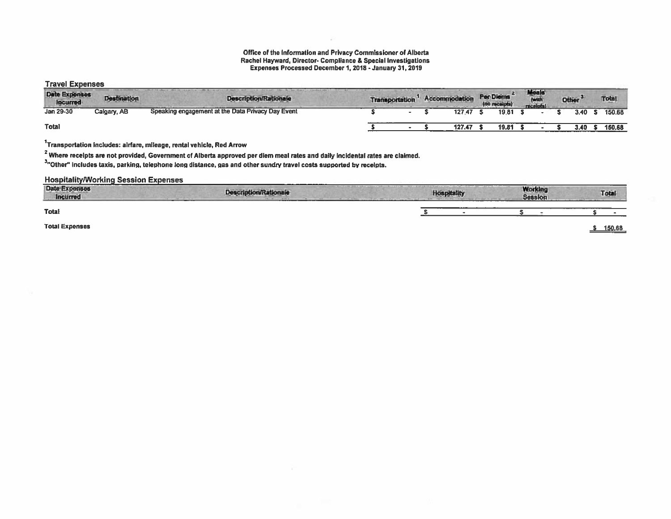## Office of the Information and Privacy Commissioner of Alberta **Rachel Hayward, Director- Compliance & Special Investigations<br>Expenses Processed December 1, 2018 - January 31, 2019**

**Travel Expenses** 

| <b>Date Exponses</b><br><b>Incurred</b> | <b>Destination</b> | <b>Description/Rationale</b>                      | <b>Transportation</b> |  | Accommodation | Per Diems<br>(no receipts) | Meals |  | Other | <b>Total</b> |
|-----------------------------------------|--------------------|---------------------------------------------------|-----------------------|--|---------------|----------------------------|-------|--|-------|--------------|
| Jan 29-30                               | Calgary, AB        | Speaking engagement at the Data Privacy Day Event |                       |  | 127.47        | 19.81                      |       |  | 3.40  | 150.68       |
| <b>Total</b>                            |                    |                                                   |                       |  | 127.47        | 19.81                      |       |  |       | 150.68       |

<sup>1</sup>Transportation includes: alrfare, mileage, rental vehicle, Red Arrow

<sup>2</sup> Where receipts are not provided, Government of Alberta approved per diem meal rates and daily incidental rates are claimed.

3.<br>"Other" includes taxis, parking, telephone long distance, gas and other sundry travel costs supported by receipts.

### **Hospitality/Working Session Expenses**

| <b>Date Expenses</b><br>Incurred | <b>Description/Rationale</b><br>-----<br>_______ |  | ______<br><b>Working</b><br><b>Session</b> | Total  |
|----------------------------------|--------------------------------------------------|--|--------------------------------------------|--------|
| <b>Total</b>                     |                                                  |  |                                            |        |
| <b>Total Expenses</b>            |                                                  |  |                                            | 150.68 |

<u>\$150.68</u>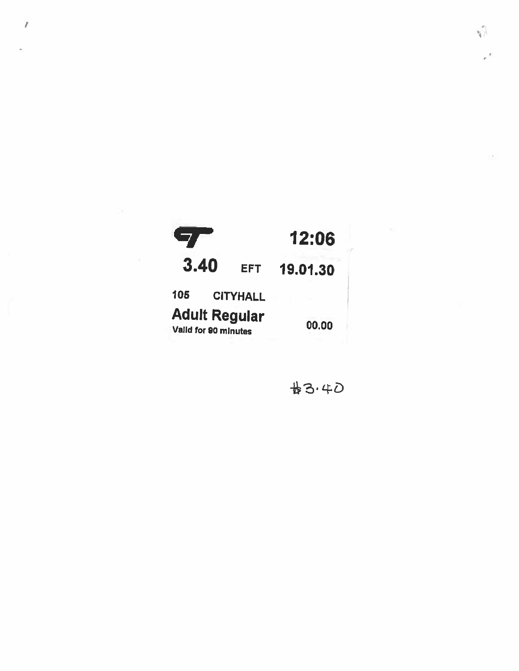

 $\overline{I}$ 

#3.40

 $\vert \cdot \vert_{\mathcal{F}}$ 

 $\kappa^2$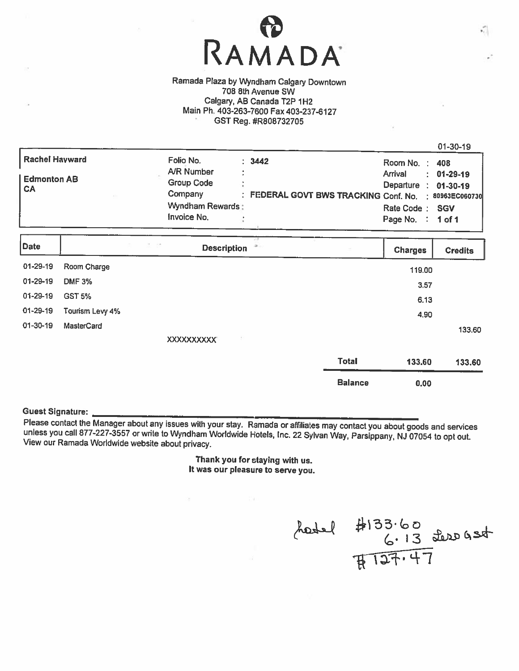

Ramada Plaza by Wyndham Calgary Downtown 708 8th Avenue SW Calgary, AB Canada T2P 1H2 Main Ph. 403-263-7600 Fax 403-237-6127 GST Reg. #R808732705

| Date                            | <b>Description</b>                                                                   | <b>Charges</b><br><b>Credits</b>                                                                                                                |
|---------------------------------|--------------------------------------------------------------------------------------|-------------------------------------------------------------------------------------------------------------------------------------------------|
| <b>Edmonton AB</b><br><b>CA</b> | <b>A/R Number</b><br><b>Group Code</b><br>Company<br>Wyndham Rewards:<br>Invoice No. | Arrival<br>$: 01-29-19$<br>Departure : 01-30-19<br>: FEDERAL GOVT BWS TRACKING Conf. No. : 80963EC060730<br>Rate Code: SGV<br>Page No. : 1 of 1 |
| Rachel Hayward                  | Folio No.<br>: 3442                                                                  | Room No. : 408                                                                                                                                  |
|                                 |                                                                                      | $01 - 30 - 19$                                                                                                                                  |

|                   | <b>Description</b> |                   | <b>Charges</b> | <b>Credits</b> |
|-------------------|--------------------|-------------------|----------------|----------------|
| Room Charge       |                    |                   | 119.00         |                |
| <b>DMF 3%</b>     |                    |                   | 3.57           |                |
| <b>GST 5%</b>     |                    |                   | 6.13           |                |
| Tourism Levy 4%   |                    |                   | 4.90           |                |
| <b>MasterCard</b> |                    |                   |                | 133.60         |
|                   | -11                |                   |                |                |
|                   |                    | <b>Total</b>      | 133,60         | 133.60         |
|                   |                    | <b>Balance</b>    | 0.00           |                |
|                   |                    | <b>XXXXXXXXXX</b> |                |                |

Guest Signature: <u>Communistiese Controller States with your stay.</u> Ramada or affiliates may contact you about goods and services unless you call 877-227-3557 or write to Wyndham Worldwide Hotels, Inc. 22 Sylvan Way, Parsippany, NJ 07054 to opt out.<br>View our Ramada Worldwide website about privacy.

> Thank you for staying with us. It was our <sup>p</sup>leasure to serve you.

 $24-4133.60$ <br> $6.13$  dere gst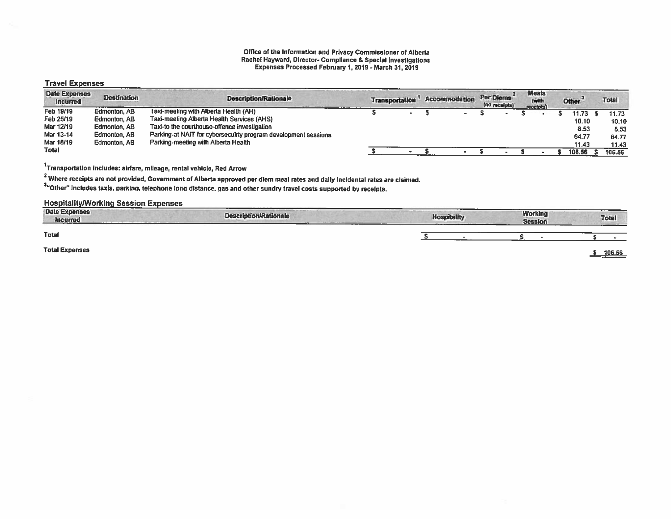#### Office of the Information and Privacy Commissioner of Alberta Rachel Hayward, Director- Compliance & Special Investigations Expenses Processed February 1, 2019- March 31, 2019

#### Travel Expenses

| <b>Date Expenses</b><br><b>Incurred</b> | <b>Destination</b> | <b>Description/Rationale</b>                                   | <b>Transportation</b> | <b>Accommodation</b>     | Per Diems | (no receipts) | <b>Meals</b><br>(with<br>receipts) | Other <sup>3</sup> | <b>Total</b> |
|-----------------------------------------|--------------------|----------------------------------------------------------------|-----------------------|--------------------------|-----------|---------------|------------------------------------|--------------------|--------------|
| Feb 19/19                               | Edmonton, AB       | Taxi-meeting with Alberta Health (AH)                          | $\blacksquare$        | $\overline{\phantom{0}}$ |           |               |                                    | 11.73              | 11.73        |
| Feb 25/19                               | Edmonton, AB       | Taxi-meeting Alberta Health Services (AHS)                     |                       |                          |           |               |                                    | 10.10              | 10.10        |
| Mar 12/19                               | Edmonton, AB       | Taxi-to the courthouse-offence investigation                   |                       |                          |           |               |                                    | 8.53               | 8.53         |
| Mar 13-14                               | Edmonton, AB       | Parking-at NAIT for cybersecuirty program development sessions |                       |                          |           |               |                                    | 64.77              | 64.77        |
| Mar 18/19                               | Edmonton, AB       | Parking-meeting with Alberta Health                            |                       |                          |           |               |                                    | 11.43              | 11.43        |
| Total                                   |                    |                                                                |                       |                          |           |               |                                    | 106.56             | 106.56       |

1Transportation includes: airfare, mileage, rental vehicle, Red Arrow

<sup>2</sup> Where receipts are not provided, Government of Alberta approved per diem meal rates and daily incidental rates are claimed.

3"Other" includes taxis, parking, telephone long distance, gas and other sundry travel costs supported by receipts.

#### Hospitality/Working Session Expenses

| <b>Date Expenses</b><br>to the company's product and the com-<br><b>Incurred</b> | <b>Description/Rationale</b> | <b>Hospitality</b> | <b>Working</b><br><b>Session</b> | <b>Total</b> |
|----------------------------------------------------------------------------------|------------------------------|--------------------|----------------------------------|--------------|
| <b>Total</b>                                                                     |                              |                    |                                  |              |
| <b>Total Expenses</b>                                                            |                              |                    |                                  | 106.56       |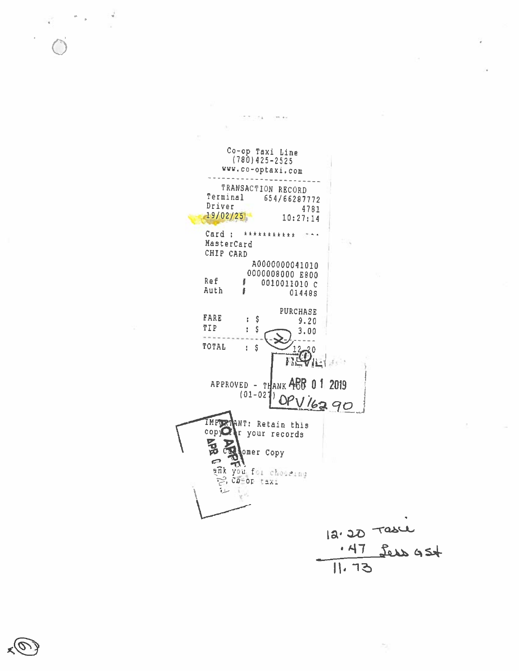Co-op Taxi Line<br>(780)425-2525 www.co-optaxi.com -----------------TRANSACTION RECORD Terminal 654/66287772 Driver 4781  $19/02/25$  $10:27:14$ Card : \*\*\*\*\*\*\*\*\*\*\* \*\*\* MasterCard CHIP CARD A0000000041010 0000008000 E800 Ref f. 0010011010 C Auth Ŧ 01448S PURCHASE **FARE**  $\frac{1}{2}$  5  $9.20$ TIP  $\pm$  \$  $3.00$  $\mathcal{L}^{\mathcal{L}}\left( \mathcal{L}^{\mathcal{L}}\right) =\mathcal{L}^{\mathcal{L}}\left( \mathcal{L}^{\mathcal{L}}\right)$  $- - - \frac{1}{2}$ TOTAL  $\frac{12}{135} \hat{\phi}^0_{11}$  $\ddot{i}$   $\ddot{s}$  $3613$ APPROVED - THANK ABB 0 1 2019  $(01 - 02)$ <u>OPV16290</u> IMPORTANT: Retain this copy of r your records BB. Che Copy  $\epsilon$  $\Delta$ ank you for choseing e, co-op taxi  $12.30$  Tasel 11.73

22.054

 $(100.14)$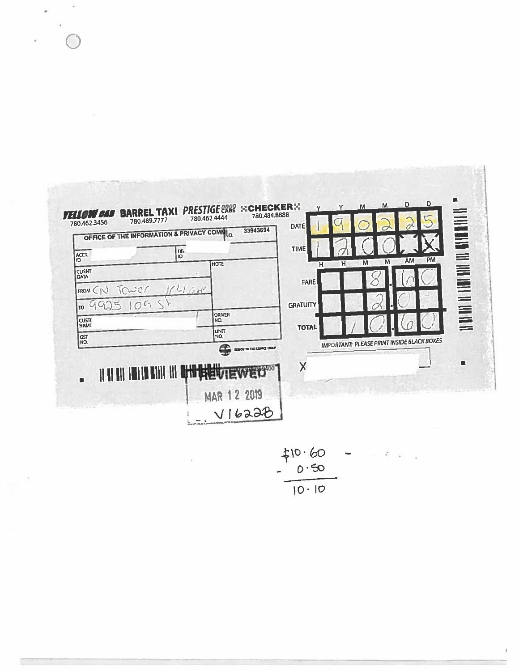| ACCT.<br>ID                               | <b>DN</b><br>ID.             | <b>NOTE</b>                                     | <b>TIME</b><br>н        | M<br>M<br>н                                | <b>PM</b><br>AM                        |
|-------------------------------------------|------------------------------|-------------------------------------------------|-------------------------|--------------------------------------------|----------------------------------------|
| <b>CUENT</b><br>DATA                      |                              |                                                 | <b>FARE</b>             |                                            |                                        |
| Tower<br>FROM(CN)<br>O <sub>1</sub><br>TO | 11478                        |                                                 | <b>GRATUIT</b>          |                                            | , H II II II III III III III III II II |
| <b>CUSTO</b><br><b>NAME</b>               |                              | <b>DRIVER</b><br>INO.                           | <b>TOTAL</b>            |                                            |                                        |
| GST<br>NO.                                |                              | UNIT<br>NO.<br>æ<br>EDMONTON TAXI SERVICE CROUP |                         | IMPORTANT: PLEASE PRINT INSIDE BLACK BOXES |                                        |
|                                           | <b>IIII III DHI LIQUUTEV</b> |                                                 | $\overline{\mathsf{X}}$ |                                            | ш                                      |

 $\hat{\boldsymbol{\theta}}$ 

Ř

 $\sqrt{2}$ 

l.

Ø.

 $\frac{210.60}{10.10}$  $\overline{\phantom{a}}$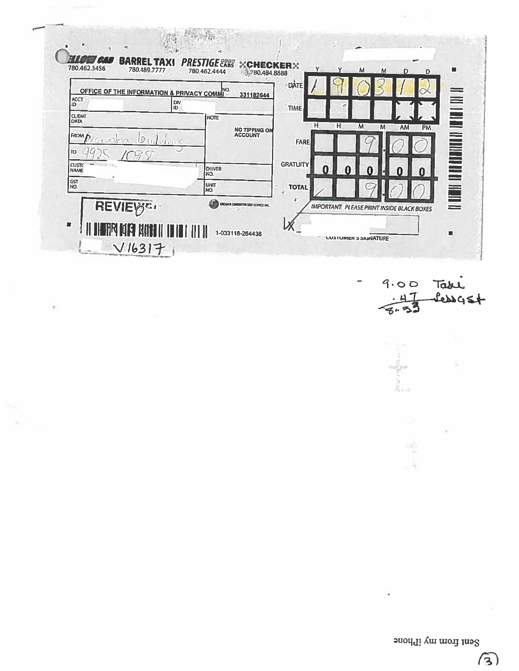|                              | OFFICE OF THE INFORMATION & PRIVACY COMMI | INO.               | 331182644                        | DÂTE.           |        |                 |                         |
|------------------------------|-------------------------------------------|--------------------|----------------------------------|-----------------|--------|-----------------|-------------------------|
| ACCT.<br>ID.                 | DIV.<br>ID                                |                    |                                  | <b>TIME</b>     | e      |                 |                         |
| <b>CLIENT</b><br><b>DATA</b> |                                           | NOTE               |                                  | н               | H<br>M | M               |                         |
| (FROM                        | ÞЭ<br>1.5                                 |                    | <b>NO TIPPING ON<br/>ACCOUNT</b> | <b>FARE</b>     |        | AM<br><b>PM</b> |                         |
| 10                           |                                           |                    |                                  |                 |        |                 |                         |
| <b>CUSTO</b><br><b>NAME</b>  |                                           | <b>DRIVER</b>      |                                  | <b>GRATUITY</b> |        | n               | <b>THE DUBBIN DIE I</b> |
| SST<br>NO.                   |                                           | NO.<br><b>UNIT</b> |                                  | <b>TOTAL</b>    |        |                 |                         |
| REVIEW <sup>e</sup>          |                                           | NO.                |                                  |                 |        |                 |                         |



ä

 $\label{eq:2} \begin{split} \frac{d^2\phi}{d\phi} = \frac{d^2\phi}{d\phi} \end{split}$  $\hat{\mathcal{A}}$ 

Sent from my iPhone

 $\mathcal{L}$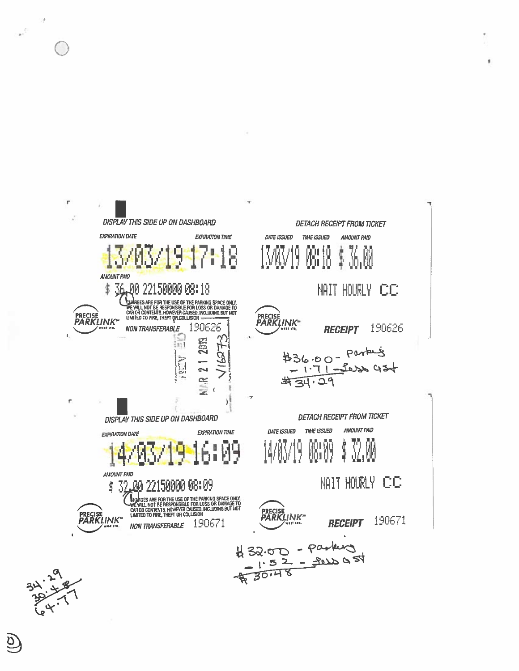

 $\mathcal{L}_{\text{max}}$